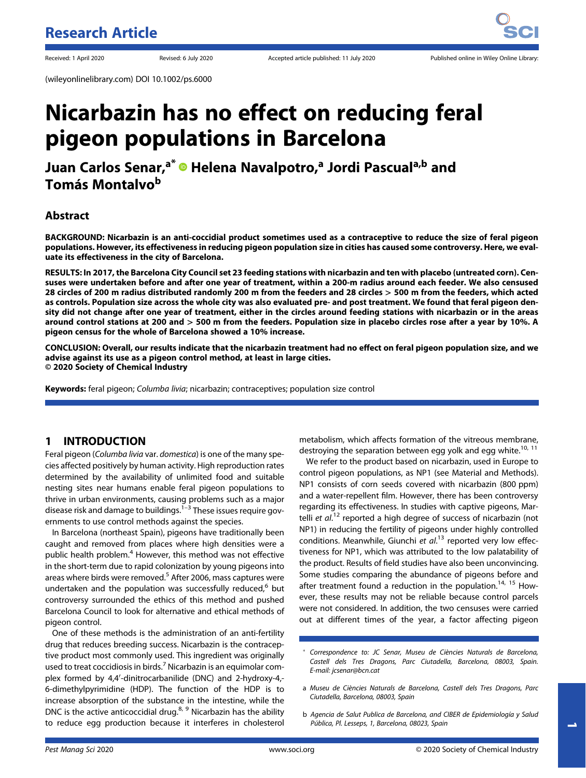(wileyonlinelibrary.com) DOI 10.1002/ps.6000

# Nicarbazin has no effect on reducing feral pigeon populations in Barcelona

Juan Carlos Senar,<sup>a\*</sup> <sup>®</sup> Helena Navalpotro,<sup>a</sup> Jordi Pascual<sup>a,b</sup> and Tomás Montalvo<sup>b</sup>

# Abstract

BACKGROUND: Nicarbazin is an anti-coccidial product sometimes used as a contraceptive to reduce the size of feral pigeon populations. However, its effectiveness in reducing pigeon population size in cities has caused some controversy. Here, we evaluate its effectiveness in the city of Barcelona.

RESULTS: In 2017, the Barcelona City Council set 23 feeding stations with nicarbazin and ten with placebo (untreated corn). Censuses were undertaken before and after one year of treatment, within a 200-m radius around each feeder. We also censused 28 circles of 200 m radius distributed randomly 200 m from the feeders and 28 circles > 500 m from the feeders, which acted as controls. Population size across the whole city was also evaluated pre- and post treatment. We found that feral pigeon density did not change after one year of treatment, either in the circles around feeding stations with nicarbazin or in the areas around control stations at 200 and > 500 m from the feeders. Population size in placebo circles rose after a year by 10%. A pigeon census for the whole of Barcelona showed a 10% increase.

CONCLUSION: Overall, our results indicate that the nicarbazin treatment had no effect on feral pigeon population size, and we advise against its use as a pigeon control method, at least in large cities. © 2020 Society of Chemical Industry

Keywords: feral pigeon; Columba livia; nicarbazin; contraceptives; population size control

# 1 INTRODUCTION

Feral pigeon (Columba livia var. domestica) is one of the many species affected positively by human activity. High reproduction rates determined by the availability of unlimited food and suitable nesting sites near humans enable feral pigeon populations to thrive in urban environments, causing problems such as a major disease risk and damage to buildings.<sup>1-3</sup> These issues require governments to use control methods against the species.

In Barcelona (northeast Spain), pigeons have traditionally been caught and removed from places where high densities were a public health problem.<sup>4</sup> However, this method was not effective in the short-term due to rapid colonization by young pigeons into areas where birds were removed.<sup>5</sup> After 2006, mass captures were undertaken and the population was successfully reduced, $6$  but controversy surrounded the ethics of this method and pushed Barcelona Council to look for alternative and ethical methods of pigeon control.

One of these methods is the administration of an anti-fertility drug that reduces breeding success. Nicarbazin is the contraceptive product most commonly used. This ingredient was originally used to treat coccidiosis in birds.<sup>7</sup> Nicarbazin is an equimolar complex formed by 4,4'-dinitrocarbanilide (DNC) and 2-hydroxy-4,-6-dimethylpyrimidine (HDP). The function of the HDP is to increase absorption of the substance in the intestine, while the DNC is the active anticoccidial drug.<sup>8, 9</sup> Nicarbazin has the ability to reduce egg production because it interferes in cholesterol metabolism, which affects formation of the vitreous membrane, destroying the separation between egg yolk and egg white.<sup>10, 11</sup>

We refer to the product based on nicarbazin, used in Europe to control pigeon populations, as NP1 (see Material and Methods). NP1 consists of corn seeds covered with nicarbazin (800 ppm) and a water-repellent film. However, there has been controversy regarding its effectiveness. In studies with captive pigeons, Martelli et al.<sup>12</sup> reported a high degree of success of nicarbazin (not NP1) in reducing the fertility of pigeons under highly controlled conditions. Meanwhile, Giunchi et  $al^{13}$  reported very low effectiveness for NP1, which was attributed to the low palatability of the product. Results of field studies have also been unconvincing. Some studies comparing the abundance of pigeons before and after treatment found a reduction in the population.<sup>14, 15</sup> However, these results may not be reliable because control parcels were not considered. In addition, the two censuses were carried out at different times of the year, a factor affecting pigeon

b Agencia de Salut Publica de Barcelona, and CIBER de Epidemiología y Salud Pública, Pl. Lesseps, 1, Barcelona, 08023, Spain

Correspondence to: JC Senar, Museu de Ciències Naturals de Barcelona, Castell dels Tres Dragons, Parc Ciutadella, Barcelona, 08003, Spain. E-mail: [jcsenar@bcn.cat](mailto:jcsenar@bcn.cat)

a Museu de Ciències Naturals de Barcelona, Castell dels Tres Dragons, Parc Ciutadella, Barcelona, 08003, Spain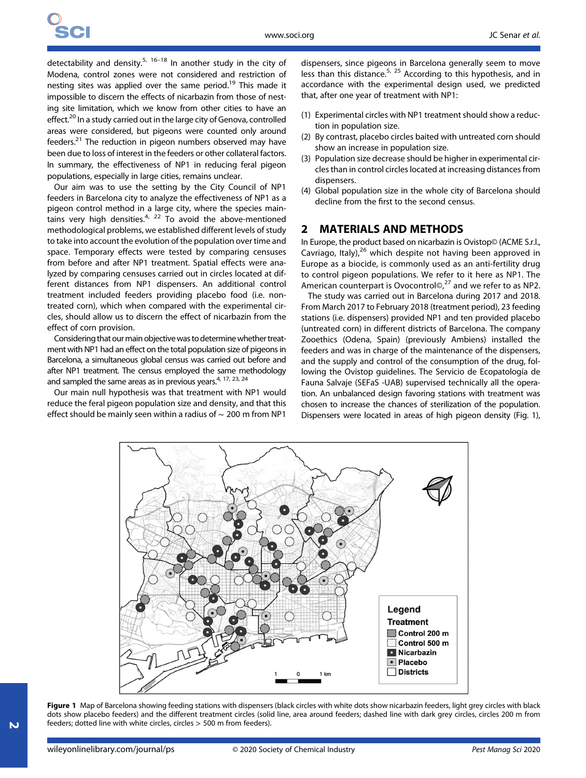detectability and density.<sup>5, 16–18</sup> In another study in the city of Modena, control zones were not considered and restriction of nesting sites was applied over the same period.<sup>19</sup> This made it impossible to discern the effects of nicarbazin from those of nesting site limitation, which we know from other cities to have an effect.<sup>20</sup> In a study carried out in the large city of Genova, controlled areas were considered, but pigeons were counted only around feeders.<sup>21</sup> The reduction in pigeon numbers observed may have been due to loss of interest in the feeders or other collateral factors. In summary, the effectiveness of NP1 in reducing feral pigeon populations, especially in large cities, remains unclear.

Our aim was to use the setting by the City Council of NP1 feeders in Barcelona city to analyze the effectiveness of NP1 as a pigeon control method in a large city, where the species maintains very high densities.<sup>4, 22</sup> To avoid the above-mentioned methodological problems, we established different levels of study to take into account the evolution of the population over time and space. Temporary effects were tested by comparing censuses from before and after NP1 treatment. Spatial effects were analyzed by comparing censuses carried out in circles located at different distances from NP1 dispensers. An additional control treatment included feeders providing placebo food (i.e. nontreated corn), which when compared with the experimental circles, should allow us to discern the effect of nicarbazin from the effect of corn provision.

Considering that our main objective was to determine whether treatment with NP1 had an effect on the total population size of pigeons in Barcelona, a simultaneous global census was carried out before and after NP1 treatment. The census employed the same methodology and sampled the same areas as in previous years.<sup>4, 17, 23, 24</sup>

Our main null hypothesis was that treatment with NP1 would reduce the feral pigeon population size and density, and that this effect should be mainly seen within a radius of ∼ 200 m from NP1 dispensers, since pigeons in Barcelona generally seem to move less than this distance.<sup>5, 25</sup> According to this hypothesis, and in accordance with the experimental design used, we predicted that, after one year of treatment with NP1:

- (1) Experimental circles with NP1 treatment should show a reduction in population size.
- (2) By contrast, placebo circles baited with untreated corn should show an increase in population size.
- (3) Population size decrease should be higher in experimental circles than in control circles located at increasing distances from dispensers.
- (4) Global population size in the whole city of Barcelona should decline from the first to the second census.

#### 2 MATERIALS AND METHODS

In Europe, the product based on nicarbazin is Ovistop© (ACME S.r.l., Cavriago, Italy), $26$  which despite not having been approved in Europe as a biocide, is commonly used as an anti-fertility drug to control pigeon populations. We refer to it here as NP1. The American counterpart is Ovocontrol $\circledcirc$ ,<sup>27</sup> and we refer to as NP2.

The study was carried out in Barcelona during 2017 and 2018. From March 2017 to February 2018 (treatment period), 23 feeding stations (i.e. dispensers) provided NP1 and ten provided placebo (untreated corn) in different districts of Barcelona. The company Zooethics (Odena, Spain) (previously Ambiens) installed the feeders and was in charge of the maintenance of the dispensers, and the supply and control of the consumption of the drug, following the Ovistop guidelines. The Servicio de Ecopatología de Fauna Salvaje (SEFaS -UAB) supervised technically all the operation. An unbalanced design favoring stations with treatment was chosen to increase the chances of sterilization of the population. Dispensers were located in areas of high pigeon density (Fig. 1),



Figure 1 Map of Barcelona showing feeding stations with dispensers (black circles with white dots show nicarbazin feeders, light grey circles with black dots show placebo feeders) and the different treatment circles (solid line, area around feeders; dashed line with dark grey circles, circles 200 m from feeders; dotted line with white circles, circles > 500 m from feeders).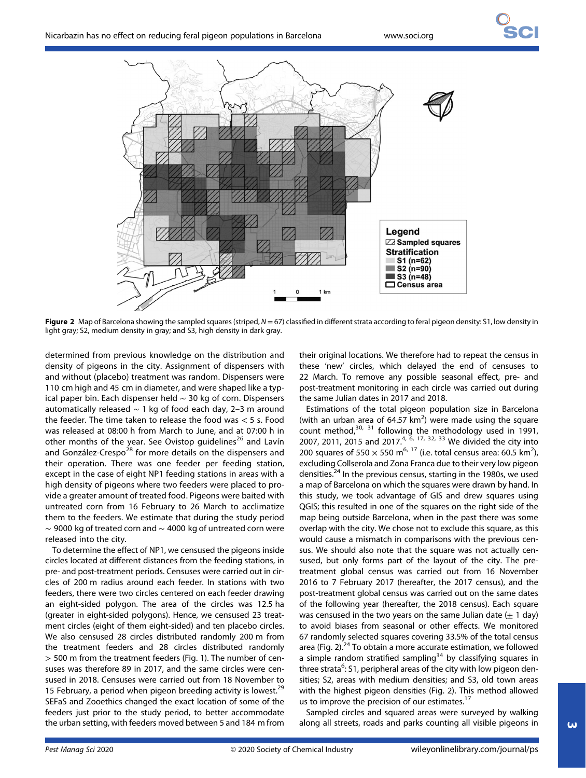

Figure 2 Map of Barcelona showing the sampled squares (striped,  $N = 67$ ) classified in different strata according to feral pigeon density: S1, low density in light gray; S2, medium density in gray; and S3, high density in dark gray.

determined from previous knowledge on the distribution and density of pigeons in the city. Assignment of dispensers with and without (placebo) treatment was random. Dispensers were 110 cm high and 45 cm in diameter, and were shaped like a typical paper bin. Each dispenser held ∼ 30 kg of corn. Dispensers automatically released ∼ 1 kg of food each day, 2–3 m around the feeder. The time taken to release the food was < 5 s. Food was released at 08:00 h from March to June, and at 07:00 h in other months of the year. See Ovistop guidelines<sup>26</sup> and Lavín and González-Crespo<sup>28</sup> for more details on the dispensers and their operation. There was one feeder per feeding station, except in the case of eight NP1 feeding stations in areas with a high density of pigeons where two feeders were placed to provide a greater amount of treated food. Pigeons were baited with untreated corn from 16 February to 26 March to acclimatize them to the feeders. We estimate that during the study period ∼ 9000 kg of treated corn and ∼ 4000 kg of untreated corn were released into the city.

To determine the effect of NP1, we censused the pigeons inside circles located at different distances from the feeding stations, in pre- and post-treatment periods. Censuses were carried out in circles of 200 m radius around each feeder. In stations with two feeders, there were two circles centered on each feeder drawing an eight-sided polygon. The area of the circles was 12.5 ha (greater in eight-sided polygons). Hence, we censused 23 treatment circles (eight of them eight-sided) and ten placebo circles. We also censused 28 circles distributed randomly 200 m from the treatment feeders and 28 circles distributed randomly > 500 m from the treatment feeders (Fig. 1). The number of censuses was therefore 89 in 2017, and the same circles were censused in 2018. Censuses were carried out from 18 November to 15 February, a period when pigeon breeding activity is lowest.<sup>29</sup> SEFaS and Zooethics changed the exact location of some of the feeders just prior to the study period, to better accommodate the urban setting, with feeders moved between 5 and 184 m from

their original locations. We therefore had to repeat the census in these 'new' circles, which delayed the end of censuses to 22 March. To remove any possible seasonal effect, pre- and post-treatment monitoring in each circle was carried out during the same Julian dates in 2017 and 2018.

Estimations of the total pigeon population size in Barcelona (with an urban area of  $64.57 \text{ km}^2$ ) were made using the square count method, $30, 31$  following the methodology used in 1991, 2007, 2011, 2015 and 2017.<sup>4, 6, 17, 32, 33</sup> We divided the city into 200 squares of 550  $\times$  550 m<sup>6, 17</sup> (i.e. total census area: 60.5 km<sup>2</sup>), excluding Collserola and Zona Franca due to their very low pigeon densities.24 In the previous census, starting in the 1980s, we used a map of Barcelona on which the squares were drawn by hand. In this study, we took advantage of GIS and drew squares using QGIS; this resulted in one of the squares on the right side of the map being outside Barcelona, when in the past there was some overlap with the city. We chose not to exclude this square, as this would cause a mismatch in comparisons with the previous census. We should also note that the square was not actually censused, but only forms part of the layout of the city. The pretreatment global census was carried out from 16 November 2016 to 7 February 2017 (hereafter, the 2017 census), and the post-treatment global census was carried out on the same dates of the following year (hereafter, the 2018 census). Each square was censused in the two years on the same Julian date  $(\pm 1 \text{ day})$ to avoid biases from seasonal or other effects. We monitored 67 randomly selected squares covering 33.5% of the total census area (Fig. 2). $^{24}$  To obtain a more accurate estimation, we followed a simple random stratified sampling<sup>34</sup> by classifying squares in three strata<sup>6</sup>: S1, peripheral areas of the city with low pigeon densities; S2, areas with medium densities; and S3, old town areas with the highest pigeon densities (Fig. 2). This method allowed us to improve the precision of our estimates.<sup>17</sup>

Sampled circles and squared areas were surveyed by walking along all streets, roads and parks counting all visible pigeons in

 $\omega$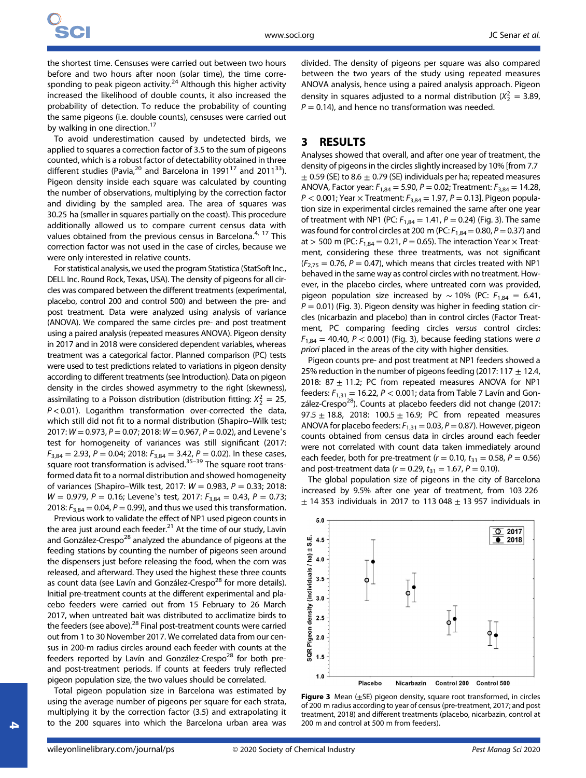the shortest time. Censuses were carried out between two hours before and two hours after noon (solar time), the time corresponding to peak pigeon activity.<sup>24</sup> Although this higher activity increased the likelihood of double counts, it also increased the probability of detection. To reduce the probability of counting the same pigeons (i.e. double counts), censuses were carried out by walking in one direction.<sup>17</sup>

To avoid underestimation caused by undetected birds, we applied to squares a correction factor of 3.5 to the sum of pigeons counted, which is a robust factor of detectability obtained in three different studies (Pavia,<sup>20</sup> and Barcelona in 1991<sup>17</sup> and 2011<sup>33</sup>). Pigeon density inside each square was calculated by counting the number of observations, multiplying by the correction factor and dividing by the sampled area. The area of squares was 30.25 ha (smaller in squares partially on the coast). This procedure additionally allowed us to compare current census data with values obtained from the previous census in Barcelona.<sup>4, 17</sup> This correction factor was not used in the case of circles, because we were only interested in relative counts.

For statistical analysis, we used the program Statistica (StatSoft Inc., DELL Inc. Round Rock, Texas, USA). The density of pigeons for all circles was compared between the different treatments (experimental, placebo, control 200 and control 500) and between the pre- and post treatment. Data were analyzed using analysis of variance (ANOVA). We compared the same circles pre- and post treatment using a paired analysis (repeated measures ANOVA). Pigeon density in 2017 and in 2018 were considered dependent variables, whereas treatment was a categorical factor. Planned comparison (PC) tests were used to test predictions related to variations in pigeon density according to different treatments (see Introduction). Data on pigeon density in the circles showed asymmetry to the right (skewness), assimilating to a Poisson distribution (distribution fitting:  $X_2^2 = 25$ ,  $P < 0.01$ ). Logarithm transformation over-corrected the data, which still did not fit to a normal distribution (Shapiro–Wilk test; 2017:  $W = 0.973$ ,  $P = 0.07$ ; 2018:  $W = 0.967$ ,  $P = 0.02$ ), and Levene's test for homogeneity of variances was still significant (2017:  $F_{3,84} = 2.93$ ,  $P = 0.04$ ; 2018:  $F_{3,84} = 3.42$ ,  $P = 0.02$ ). In these cases, square root transformation is advised.<sup>35–39</sup> The square root transformed data fit to a normal distribution and showed homogeneity of variances (Shapiro–Wilk test, 2017:  $W = 0.983$ ,  $P = 0.33$ ; 2018:  $W = 0.979$ ,  $P = 0.16$ ; Levene's test, 2017:  $F_{3.84} = 0.43$ ,  $P = 0.73$ ; 2018:  $F_{3,84} = 0.04$ ,  $P = 0.99$ ), and thus we used this transformation.

Previous work to validate the effect of NP1 used pigeon counts in the area just around each feeder. $21$  At the time of our study, Lavín and González-Crespo<sup>28</sup> analyzed the abundance of pigeons at the feeding stations by counting the number of pigeons seen around the dispensers just before releasing the food, when the corn was released, and afterward. They used the highest these three counts as count data (see Lavín and González-Crespo $^{28}$  for more details). Initial pre-treatment counts at the different experimental and placebo feeders were carried out from 15 February to 26 March 2017, when untreated bait was distributed to acclimatize birds to the feeders (see above).<sup>28</sup> Final post-treatment counts were carried out from 1 to 30 November 2017. We correlated data from our census in 200-m radius circles around each feeder with counts at the feeders reported by Lavín and González-Crespo $^{28}$  for both preand post-treatment periods. If counts at feeders truly reflected pigeon population size, the two values should be correlated.

Total pigeon population size in Barcelona was estimated by using the average number of pigeons per square for each strata, multiplying it by the correction factor (3.5) and extrapolating it to the 200 squares into which the Barcelona urban area was divided. The density of pigeons per square was also compared between the two years of the study using repeated measures ANOVA analysis, hence using a paired analysis approach. Pigeon density in squares adjusted to a normal distribution ( $X_2^2 = 3.89$ ,  $P = 0.14$ ), and hence no transformation was needed.

#### 3 RESULTS

Analyses showed that overall, and after one year of treatment, the density of pigeons in the circles slightly increased by 10% [from 7.7  $\pm$  0.59 (SE) to 8.6  $\pm$  0.79 (SE) individuals per ha; repeated measures ANOVA, Factor year:  $F_{1,84} = 5.90$ ,  $P = 0.02$ ; Treatment:  $F_{3,84} = 14.28$ ,  $P < 0.001$ ; Year  $\times$  Treatment:  $F_{3,84} = 1.97$ ,  $P = 0.13$ ]. Pigeon population size in experimental circles remained the same after one year of treatment with NP1 (PC:  $F_{1,84} = 1.41$ ,  $P = 0.24$ ) (Fig. 3). The same was found for control circles at 200 m (PC:  $F_{1,84} = 0.80$ ,  $P = 0.37$ ) and at > 500 m (PC:  $F_{1,84} = 0.21$ ,  $P = 0.65$ ). The interaction Year  $\times$  Treatment, considering these three treatments, was not significant  $(F_{2,75} = 0.76, P = 0.47)$ , which means that circles treated with NP1 behaved in the same way as control circles with no treatment. However, in the placebo circles, where untreated corn was provided, pigeon population size increased by ~ 10% (PC:  $F_{1,84} = 6.41$ ,  $P = 0.01$ ) (Fig. 3). Pigeon density was higher in feeding station circles (nicarbazin and placebo) than in control circles (Factor Treatment, PC comparing feeding circles versus control circles:  $F_{1,84}$  = 40.40, P < 0.001) (Fig. 3), because feeding stations were a priori placed in the areas of the city with higher densities.

Pigeon counts pre- and post treatment at NP1 feeders showed a 25% reduction in the number of pigeons feeding (2017: 117  $\pm$  12.4, 2018: 87  $\pm$  11.2; PC from repeated measures ANOVA for NP1 feeders:  $F_{1,31}$  = 16.22,  $P < 0.001$ ; data from Table 7 Lavín and González-Crespo<sup>28</sup>). Counts at placebo feeders did not change (2017: 97.5  $\pm$  18.8, 2018: 100.5  $\pm$  16.9; PC from repeated measures ANOVA for placebo feeders:  $F_{1,31} = 0.03$ ,  $P = 0.87$ ). However, pigeon counts obtained from census data in circles around each feeder were not correlated with count data taken immediately around each feeder, both for pre-treatment ( $r = 0.10$ ,  $t_{31} = 0.58$ ,  $P = 0.56$ ) and post-treatment data ( $r = 0.29$ ,  $t_{31} = 1.67$ ,  $P = 0.10$ ).

The global population size of pigeons in the city of Barcelona increased by 9.5% after one year of treatment, from 103 226  $\pm$  14 353 individuals in 2017 to 113 048  $\pm$  13 957 individuals in



**Figure 3** Mean  $(\pm$ SE) pigeon density, square root transformed, in circles of 200 m radius according to year of census (pre-treatment, 2017; and post treatment, 2018) and different treatments (placebo, nicarbazin, control at 200 m and control at 500 m from feeders).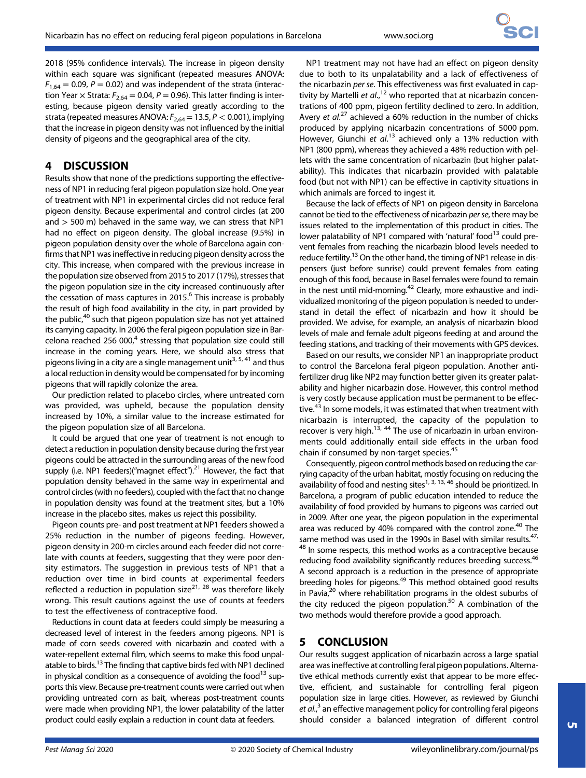2018 (95% confidence intervals). The increase in pigeon density within each square was significant (repeated measures ANOVA:  $F_{1,64} = 0.09$ ,  $P = 0.02$ ) and was independent of the strata (interaction Year  $\times$  Strata:  $F_{2,64} = 0.04$ ,  $P = 0.96$ ). This latter finding is interesting, because pigeon density varied greatly according to the strata (repeated measures ANOVA:  $F_{2,64}$  = 13.5, P < 0.001), implying that the increase in pigeon density was not influenced by the initial density of pigeons and the geographical area of the city.

# 4 DISCUSSION

Results show that none of the predictions supporting the effectiveness of NP1 in reducing feral pigeon population size hold. One year of treatment with NP1 in experimental circles did not reduce feral pigeon density. Because experimental and control circles (at 200 and  $>$  500 m) behaved in the same way, we can stress that NP1 had no effect on pigeon density. The global increase (9.5%) in pigeon population density over the whole of Barcelona again confirms that NP1 was ineffective in reducing pigeon density across the city. This increase, when compared with the previous increase in the population size observed from 2015 to 2017 (17%), stresses that the pigeon population size in the city increased continuously after the cessation of mass captures in 2015. $<sup>6</sup>$  This increase is probably</sup> the result of high food availability in the city, in part provided by the public, $40$  such that pigeon population size has not yet attained its carrying capacity. In 2006 the feral pigeon population size in Barcelona reached 256 000 $^{4}$  stressing that population size could still increase in the coming years. Here, we should also stress that pigeons living in a city are a single management unit<sup>3, 5, 41</sup> and thus a local reduction in density would be compensated for by incoming pigeons that will rapidly colonize the area.

Our prediction related to placebo circles, where untreated corn was provided, was upheld, because the population density increased by 10%, a similar value to the increase estimated for the pigeon population size of all Barcelona.

It could be argued that one year of treatment is not enough to detect a reduction in population density because during the first year pigeons could be attracted in the surrounding areas of the new food supply (i.e. NP1 feeders)("magnet effect"). $^{21}$  However, the fact that population density behaved in the same way in experimental and control circles (with no feeders), coupled with the fact that no change in population density was found at the treatment sites, but a 10% increase in the placebo sites, makes us reject this possibility.

Pigeon counts pre- and post treatment at NP1 feeders showed a 25% reduction in the number of pigeons feeding. However, pigeon density in 200-m circles around each feeder did not correlate with counts at feeders, suggesting that they were poor density estimators. The suggestion in previous tests of NP1 that a reduction over time in bird counts at experimental feeders reflected a reduction in population size<sup>21, 28</sup> was therefore likely wrong. This result cautions against the use of counts at feeders to test the effectiveness of contraceptive food.

Reductions in count data at feeders could simply be measuring a decreased level of interest in the feeders among pigeons. NP1 is made of corn seeds covered with nicarbazin and coated with a water-repellent external film, which seems to make this food unpalatable to birds.<sup>13</sup> The finding that captive birds fed with NP1 declined in physical condition as a consequence of avoiding the food $^{13}$  supports this view. Because pre-treatment counts were carried out when providing untreated corn as bait, whereas post-treatment counts were made when providing NP1, the lower palatability of the latter product could easily explain a reduction in count data at feeders.

NP1 treatment may not have had an effect on pigeon density due to both to its unpalatability and a lack of effectiveness of the nicarbazin per se. This effectiveness was first evaluated in captivity by Martelli et al.,<sup>12</sup> who reported that at nicarbazin concentrations of 400 ppm, pigeon fertility declined to zero. In addition, Avery et al.<sup>27</sup> achieved a 60% reduction in the number of chicks produced by applying nicarbazin concentrations of 5000 ppm. However, Giunchi et al.<sup>13</sup> achieved only a 13% reduction with NP1 (800 ppm), whereas they achieved a 48% reduction with pellets with the same concentration of nicarbazin (but higher palatability). This indicates that nicarbazin provided with palatable food (but not with NP1) can be effective in captivity situations in which animals are forced to ingest it.

Because the lack of effects of NP1 on pigeon density in Barcelona cannot be tied to the effectiveness of nicarbazin per se, there may be issues related to the implementation of this product in cities. The lower palatability of NP1 compared with 'natural' food<sup>13</sup> could prevent females from reaching the nicarbazin blood levels needed to reduce fertility.<sup>13</sup> On the other hand, the timing of NP1 release in dispensers (just before sunrise) could prevent females from eating enough of this food, because in Basel females were found to remain in the nest until mid-morning.<sup>42</sup> Clearly, more exhaustive and individualized monitoring of the pigeon population is needed to understand in detail the effect of nicarbazin and how it should be provided. We advise, for example, an analysis of nicarbazin blood levels of male and female adult pigeons feeding at and around the feeding stations, and tracking of their movements with GPS devices.

Based on our results, we consider NP1 an inappropriate product to control the Barcelona feral pigeon population. Another antifertilizer drug like NP2 may function better given its greater palatability and higher nicarbazin dose. However, this control method is very costly because application must be permanent to be effective.<sup>43</sup> In some models, it was estimated that when treatment with nicarbazin is interrupted, the capacity of the population to recover is very high.<sup>13, 44</sup> The use of nicarbazin in urban environments could additionally entail side effects in the urban food chain if consumed by non-target species.<sup>45</sup>

Consequently, pigeon control methods based on reducing the carrying capacity of the urban habitat, mostly focusing on reducing the availability of food and nesting sites $1, 3, 13, 46$  should be prioritized. In Barcelona, a program of public education intended to reduce the availability of food provided by humans to pigeons was carried out in 2009. After one year, the pigeon population in the experimental area was reduced by 40% compared with the control zone.<sup>40</sup> The same method was used in the 1990s in Basel with similar results.<sup>47,</sup> <sup>48</sup> In some respects, this method works as a contraceptive because reducing food availability significantly reduces breeding success.<sup>46</sup> A second approach is a reduction in the presence of appropriate breeding holes for pigeons.49 This method obtained good results in Pavia, $20$  where rehabilitation programs in the oldest suburbs of the city reduced the pigeon population.<sup>50</sup> A combination of the two methods would therefore provide a good approach.

# 5 CONCLUSION

Our results suggest application of nicarbazin across a large spatial area was ineffective at controlling feral pigeon populations. Alternative ethical methods currently exist that appear to be more effective, efficient, and sustainable for controlling feral pigeon population size in large cities. However, as reviewed by Giunchi et al.,<sup>3</sup> an effective management policy for controlling feral pigeons should consider a balanced integration of different control

**ហ**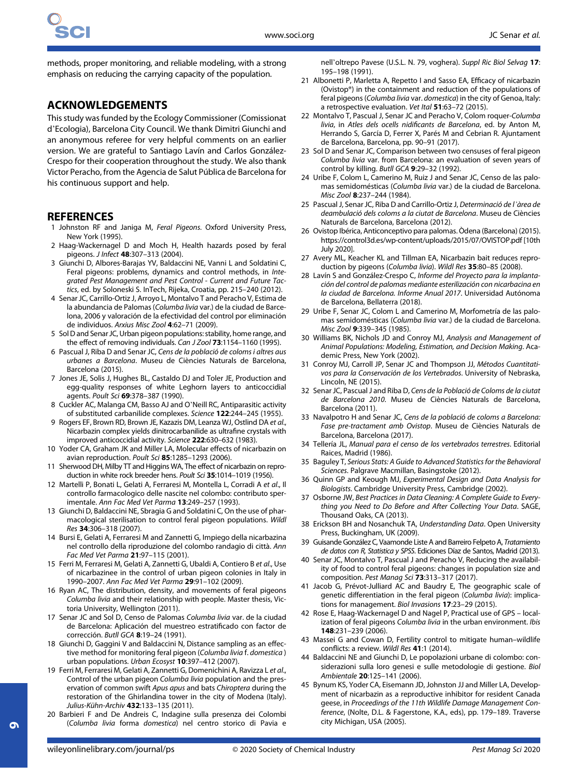methods, proper monitoring, and reliable modeling, with a strong emphasis on reducing the carrying capacity of the population.

# ACKNOWLEDGEMENTS

This study was funded by the Ecology Commissioner (Comissionat d'Ecologia), Barcelona City Council. We thank Dimitri Giunchi and an anonymous referee for very helpful comments on an earlier version. We are grateful to Santiago Lavín and Carlos González-Crespo for their cooperation throughout the study. We also thank Victor Peracho, from the Agencia de Salut Pública de Barcelona for his continuous support and help.

# **REFERENCES**

- 1 Johnston RF and Janiga M, Feral Pigeons. Oxford University Press, New York (1995).
- 2 Haag-Wackernagel D and Moch H, Health hazards posed by feral pigeons. J Infect 48:307–313 (2004).
- 3 Giunchi D, Albores-Barajas YV, Baldaccini NE, Vanni L and Soldatini C, Feral pigeons: problems, dynamics and control methods, in Integrated Pest Management and Pest Control - Current and Future Tactics, ed. by Soloneski S. InTech, Rijeka, Croatia, pp. 215–240 (2012).
- 4 Senar JC, Carrillo-Ortiz J, Arroyo L, Montalvo T and Peracho V, Estima de la abundancia de Palomas (Columba livia var.) de la ciudad de Barcelona, 2006 y valoración de la efectividad del control por eliminación de individuos. Arxius Misc Zool 4:62–71 (2009).
- 5 Sol D and Senar JC, Urban pigeon populations: stability, home range, and the effect of removing individuals. Can J Zool 73:1154–1160 (1995).
- 6 Pascual J, Riba D and Senar JC, Cens de la població de coloms i altres aus urbanes a Barcelona. Museu de Ciències Naturals de Barcelona, Barcelona (2015).
- 7 Jones JE, Solis J, Hughes BL, Castaldo DJ and Toler JE, Production and egg-quality responses of white Leghorn layers to anticoccidial agents. Poult Sci 69:378–387 (1990).
- 8 Cuckler AC, Malanga CM, Basso AJ and O'Neill RC, Antiparasitic activity of substituted carbanilide complexes. Science 122:244–245 (1955).
- 9 Rogers EF, Brown RD, Brown JE, Kazazis DM, Leanza WJ, Ostlind DA et al., Nicarbazin complex yields dinitrocarbanilide as ultrafine crystals with improved anticoccidial activity. Science 222:630–632 (1983).
- 10 Yoder CA, Graham JK and Miller LA, Molecular effects of nicarbazin on avian reproduction. Poult Sci 85:1285–1293 (2006).
- 11 Sherwood DH, Milby TT and Higgins WA, The effect of nicarbazin on reproduction in white rock breeder hens. Poult Sci 35:1014–1019 (1956).
- 12 Martelli P, Bonati L, Gelati A, Ferraresi M, Montella L, Corradi A et al., Il controllo farmacologico delle nascite nel colombo: contributo sperimentale. Ann Fac Med Vet Parma 13:249–257 (1993).
- 13 Giunchi D, Baldaccini NE, Sbragia G and Soldatini C, On the use of pharmacological sterilisation to control feral pigeon populations. Wildl Res 34:306–318 (2007).
- 14 Bursi E, Gelati A, Ferraresi M and Zannetti G, Impiego della nicarbazina nel controllo della riproduzione del colombo randagio di città. Ann Fac Med Vet Parma 21:97–115 (2001).
- 15 Ferri M, Ferraresi M, Gelati A, Zannetti G, Ubaldi A, Contiero B et al., Use of nicarbazinee in the control of urban pigeon colonies in Italy in 1990–2007. Ann Fac Med Vet Parma 29:91–102 (2009).
- 16 Ryan AC, The distribution, density, and movements of feral pigeons Columba livia and their relationship with people. Master thesis, Victoria University, Wellington (2011).
- 17 Senar JC and Sol D, Censo de Palomas Columba livia var. de la ciudad de Barcelona: Aplicación del muestreo estratificado con factor de corrección. Butll GCA 8:19–24 (1991).
- 18 Giunchi D, Gaggini V and Baldaccini N, Distance sampling as an effective method for monitoring feral pigeon (Columba livia f. domestica ) urban populations. Urban Ecosyst 10:397–412 (2007).
- 19 Ferri M, Ferraresi M, Gelati A, Zannetti G, Domenichini A, Ravizza L et al., Control of the urban pigeon Columba livia population and the preservation of common swift Apus apus and bats Chiroptera during the restoration of the Ghirlandina tower in the city of Modena (Italy). Julius-Kühn-Archiv 432:133–135 (2011).
- 20 Barbieri F and De Andreis C, Indagine sulla presenza dei Colombi (Columba livia forma domestica) nel centro storico di Pavia e

nell'oltrepo Pavese (U.S.L. N. 79, voghera). Suppl Ric Biol Selvag 17: 195–198 (1991).

- 21 Albonetti P, Marletta A, Repetto I and Sasso EA, Efficacy of nicarbazin (Ovistop®) in the containment and reduction of the populations of feral pigeons (Columba livia var. domestica) in the city of Genoa, Italy: a retrospective evaluation. Vet Ital 51:63-72 (2015).
- 22 Montalvo T, Pascual J, Senar JC and Peracho V, Colom roquer-Columba livia, in Atles dels ocells nidificants de Barcelona, ed. by Anton M, Herrando S, García D, Ferrer X, Parés M and Cebrian R. Ajuntament de Barcelona, Barcelona, pp. 90–91 (2017).
- 23 Sol D and Senar JC, Comparison between two censuses of feral pigeon Columba livia var. from Barcelona: an evaluation of seven years of control by killing. Butll GCA 9:29–32 (1992).
- 24 Uribe F, Colom L, Camerino M, Ruiz J and Senar JC, Censo de las palomas semidomésticas (Columba livia var.) de la ciudad de Barcelona. Misc Zool 8:237–244 (1984).
- 25 Pascual J, Senar JC, Riba D and Carrillo-Ortiz J, Determinació de l'àrea de deambulació dels coloms a la ciutat de Barcelona. Museu de Ciències Naturals de Barcelona, Barcelona (2012).
- 26 Ovistop Ibérica, Anticonceptivo para palomas. Òdena (Barcelona) (2015). <https://control3d.es/wp-content/uploads/2015/07/OVISTOP.pdf> [10th July 2020].
- 27 Avery ML, Keacher KL and Tillman EA, Nicarbazin bait reduces reproduction by pigeons (Columba livia). Wildl Res 35:80–85 (2008).
- 28 Lavín S and González-Crespo C, Informe del Proyecto para la implantación del control de palomas mediante esterilización con nicarbacina en la ciudad de Barcelona. Informe Anual 2017. Universidad Autónoma de Barcelona, Bellaterra (2018).
- 29 Uribe F, Senar JC, Colom L and Camerino M, Morfometría de las palomas semidomésticas (Columba livia var.) de la ciudad de Barcelona. Misc Zool 9:339–345 (1985).
- 30 Williams BK, Nichols JD and Conroy MJ, Analysis and Management of Animal Populations: Modeling, Estimation, and Decision Making. Academic Press, New York (2002).
- 31 Conroy MJ, Carroll JP, Senar JC and Thompson JJ, Métodos Cuantitativos para la Conservación de los Vertebrados. University of Nebraska, Lincoln, NE (2015).
- 32 Senar JC, Pascual J and Riba D, Cens de la Població de Coloms de la ciutat de Barcelona 2010. Museu de Ciències Naturals de Barcelona, Barcelona (2011).
- 33 Navalpotro H and Senar JC, Cens de la població de coloms a Barcelona: Fase pre-tractament amb Ovistop. Museu de Ciències Naturals de Barcelona, Barcelona (2017).
- 34 Tellería JL, Manual para el censo de los vertebrados terrestres. Editorial Raices, Madrid (1986).
- 35 Baguley T, Serious Stats: A Guide to Advanced Statistics for the Behavioral Sciences. Palgrave Macmillan, Basingstoke (2012).
- 36 Quinn GP and Keough MJ, Experimental Design and Data Analysis for Biologists. Cambridge University Press, Cambridge (2002).
- 37 Osborne JW, Best Practices in Data Cleaning: A Complete Guide to Everything you Need to Do Before and After Collecting Your Data. SAGE, Thousand Oaks, CA (2013).
- 38 Erickson BH and Nosanchuk TA, Understanding Data. Open University Press, Buckingham, UK (2009).
- 39 Guisande González C, Vaamonde Liste A and Barreiro Felpeto A, Tratamiento de datos con R, Statistica y SPSS. Ediciones Díaz de Santos, Madrid (2013).
- 40 Senar JC, Montalvo T, Pascual J and Peracho V, Reducing the availability of food to control feral pigeons: changes in population size and composition. Pest Manag Sci 73:313–317 (2017).
- 41 Jacob G, Prévot-Julliard AC and Baudry E, The geographic scale of genetic differentiation in the feral pigeon (Columba livia): implications for management. Biol Invasions 17:23–29 (2015).
- 42 Rose E, Haag-Wackernagel D and Nagel P, Practical use of GPS localization of feral pigeons Columba livia in the urban environment. Ibis 148:231–239 (2006).
- 43 Massei G and Cowan D, Fertility control to mitigate human–wildlife conflicts: a review. Wildl Res 41:1 (2014).
- 44 Baldaccini NE and Giunchi D, Le popolazioni urbane di colombo: considerazioni sulla loro genesi e sulle metodologie di gestione. Biol Ambientale 20:125–141 (2006).
- 45 Bynum KS, Yoder CA, Eisemann JD, Johnston JJ and Miller LA, Development of nicarbazin as a reproductive inhibitor for resident Canada geese, in Proceedings of the 11th Wildlife Damage Management Conference, (Nolte, D.L. & Fagerstone, K.A., eds), pp. 179–189. Traverse city Michigan, USA (2005).